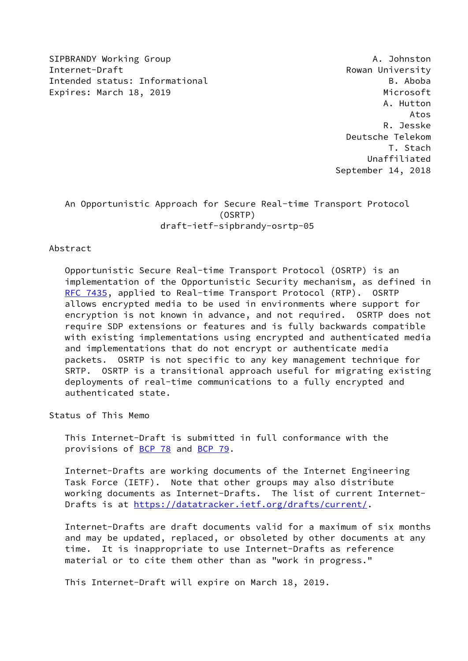SIPBRANDY Working Group And the Communication of the Communication of the Communication of the Communication of the Communication of the Communication of the Communication of the Communication of the Communication of the C Internet-Draft Rowan University Intended status: Informational B. Aboba Expires: March 18, 2019 **Microsoft** 

 A. Hutton Atos R. Jesske Deutsche Telekom T. Stach Unaffiliated September 14, 2018

# An Opportunistic Approach for Secure Real-time Transport Protocol (OSRTP) draft-ietf-sipbrandy-osrtp-05

### Abstract

 Opportunistic Secure Real-time Transport Protocol (OSRTP) is an implementation of the Opportunistic Security mechanism, as defined in [RFC 7435](https://datatracker.ietf.org/doc/pdf/rfc7435), applied to Real-time Transport Protocol (RTP). OSRTP allows encrypted media to be used in environments where support for encryption is not known in advance, and not required. OSRTP does not require SDP extensions or features and is fully backwards compatible with existing implementations using encrypted and authenticated media and implementations that do not encrypt or authenticate media packets. OSRTP is not specific to any key management technique for SRTP. OSRTP is a transitional approach useful for migrating existing deployments of real-time communications to a fully encrypted and authenticated state.

Status of This Memo

 This Internet-Draft is submitted in full conformance with the provisions of [BCP 78](https://datatracker.ietf.org/doc/pdf/bcp78) and [BCP 79](https://datatracker.ietf.org/doc/pdf/bcp79).

 Internet-Drafts are working documents of the Internet Engineering Task Force (IETF). Note that other groups may also distribute working documents as Internet-Drafts. The list of current Internet- Drafts is at<https://datatracker.ietf.org/drafts/current/>.

 Internet-Drafts are draft documents valid for a maximum of six months and may be updated, replaced, or obsoleted by other documents at any time. It is inappropriate to use Internet-Drafts as reference material or to cite them other than as "work in progress."

This Internet-Draft will expire on March 18, 2019.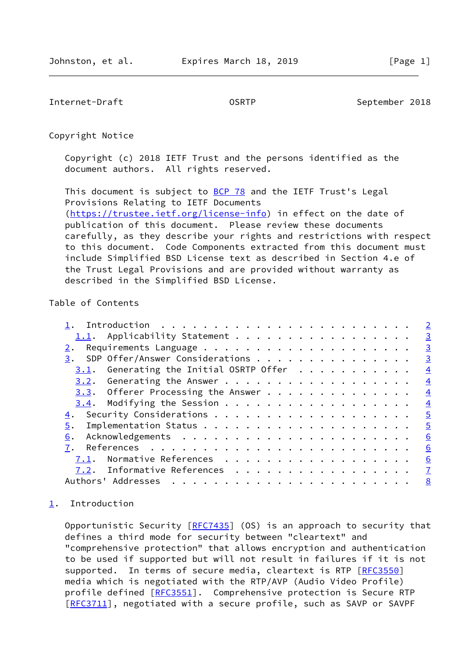<span id="page-1-1"></span>Internet-Draft COSRTP COSRTP September 2018

Copyright Notice

 Copyright (c) 2018 IETF Trust and the persons identified as the document authors. All rights reserved.

This document is subject to **[BCP 78](https://datatracker.ietf.org/doc/pdf/bcp78)** and the IETF Trust's Legal Provisions Relating to IETF Documents [\(https://trustee.ietf.org/license-info](https://trustee.ietf.org/license-info)) in effect on the date of publication of this document. Please review these documents carefully, as they describe your rights and restrictions with respect to this document. Code Components extracted from this document must include Simplified BSD License text as described in Section 4.e of the Trust Legal Provisions and are provided without warranty as described in the Simplified BSD License.

## Table of Contents

|      |                                                         | $\overline{2}$ |
|------|---------------------------------------------------------|----------------|
|      | 1.1. Applicability Statement<br>$\overline{\mathbf{3}}$ |                |
|      |                                                         | $\overline{3}$ |
|      | 3. SDP Offer/Answer Considerations                      | $\overline{3}$ |
|      | $3.1$ . Generating the Initial OSRTP Offer              | $\overline{4}$ |
|      |                                                         | $\overline{4}$ |
|      | $3.3.$ Offerer Processing the Answer                    | $\overline{4}$ |
|      | $\frac{4}{1}$                                           |                |
|      |                                                         | $\overline{5}$ |
| 5.   |                                                         | $\overline{5}$ |
| 6.   |                                                         | 6              |
|      |                                                         | 6              |
| 7.1. | Normative References                                    | 6              |
|      | <u>7.2</u> . Informative References <u>7</u>            |                |
|      | Authors' Addresses<br>8                                 |                |

### <span id="page-1-0"></span>[1](#page-1-0). Introduction

Opportunistic Security [\[RFC7435](https://datatracker.ietf.org/doc/pdf/rfc7435)] (OS) is an approach to security that defines a third mode for security between "cleartext" and "comprehensive protection" that allows encryption and authentication to be used if supported but will not result in failures if it is not supported. In terms of secure media, cleartext is RTP [\[RFC3550](https://datatracker.ietf.org/doc/pdf/rfc3550)] media which is negotiated with the RTP/AVP (Audio Video Profile) profile defined [\[RFC3551](https://datatracker.ietf.org/doc/pdf/rfc3551)]. Comprehensive protection is Secure RTP [\[RFC3711](https://datatracker.ietf.org/doc/pdf/rfc3711)], negotiated with a secure profile, such as SAVP or SAVPF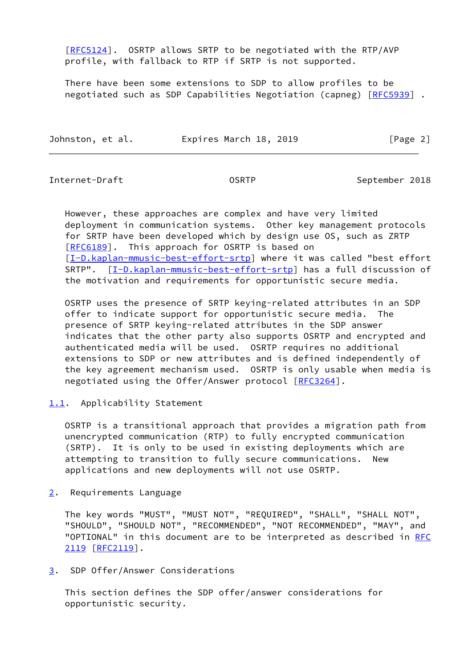[\[RFC5124](https://datatracker.ietf.org/doc/pdf/rfc5124)]. OSRTP allows SRTP to be negotiated with the RTP/AVP profile, with fallback to RTP if SRTP is not supported.

 There have been some extensions to SDP to allow profiles to be negotiated such as SDP Capabilities Negotiation (capneg) [\[RFC5939](https://datatracker.ietf.org/doc/pdf/rfc5939)].

|  | Johnston, et al. | Expires March 18, 2019 | [Page 2] |
|--|------------------|------------------------|----------|
|--|------------------|------------------------|----------|

<span id="page-2-1"></span>Internet-Draft OSRTP September 2018

 However, these approaches are complex and have very limited deployment in communication systems. Other key management protocols for SRTP have been developed which by design use OS, such as ZRTP [\[RFC6189](https://datatracker.ietf.org/doc/pdf/rfc6189)]. This approach for OSRTP is based on [\[I-D.kaplan-mmusic-best-effort-srtp\]](#page-7-2) where it was called "best effort SRTP". [\[I-D.kaplan-mmusic-best-effort-srtp\]](#page-7-2) has a full discussion of the motivation and requirements for opportunistic secure media.

 OSRTP uses the presence of SRTP keying-related attributes in an SDP offer to indicate support for opportunistic secure media. The presence of SRTP keying-related attributes in the SDP answer indicates that the other party also supports OSRTP and encrypted and authenticated media will be used. OSRTP requires no additional extensions to SDP or new attributes and is defined independently of the key agreement mechanism used. OSRTP is only usable when media is negotiated using the Offer/Answer protocol [[RFC3264\]](https://datatracker.ietf.org/doc/pdf/rfc3264).

### <span id="page-2-0"></span>[1.1](#page-2-0). Applicability Statement

 OSRTP is a transitional approach that provides a migration path from unencrypted communication (RTP) to fully encrypted communication (SRTP). It is only to be used in existing deployments which are attempting to transition to fully secure communications. New applications and new deployments will not use OSRTP.

<span id="page-2-2"></span>[2](#page-2-2). Requirements Language

 The key words "MUST", "MUST NOT", "REQUIRED", "SHALL", "SHALL NOT", "SHOULD", "SHOULD NOT", "RECOMMENDED", "NOT RECOMMENDED", "MAY", and "OPTIONAL" in this document are to be interpreted as described in [RFC](https://datatracker.ietf.org/doc/pdf/rfc2119) [2119](https://datatracker.ietf.org/doc/pdf/rfc2119) [\[RFC2119](https://datatracker.ietf.org/doc/pdf/rfc2119)].

<span id="page-2-3"></span>[3](#page-2-3). SDP Offer/Answer Considerations

 This section defines the SDP offer/answer considerations for opportunistic security.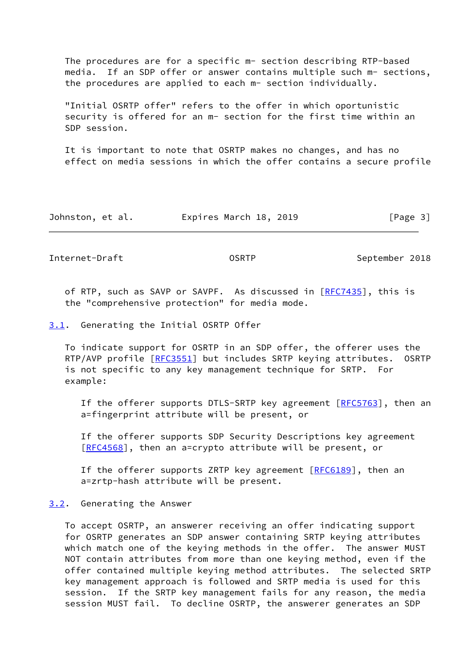The procedures are for a specific m- section describing RTP-based media. If an SDP offer or answer contains multiple such m- sections, the procedures are applied to each m- section individually.

 "Initial OSRTP offer" refers to the offer in which oportunistic security is offered for an m- section for the first time within an SDP session.

 It is important to note that OSRTP makes no changes, and has no effect on media sessions in which the offer contains a secure profile

| Johnston, et al. | Expires March 18, 2019 | [Page 3] |
|------------------|------------------------|----------|
|------------------|------------------------|----------|

<span id="page-3-1"></span>Internet-Draft **Canadian COSRTP** COSRTP September 2018

of RTP, such as SAVP or SAVPF. As discussed in [\[RFC7435](https://datatracker.ietf.org/doc/pdf/rfc7435)], this is the "comprehensive protection" for media mode.

#### <span id="page-3-0"></span>[3.1](#page-3-0). Generating the Initial OSRTP Offer

 To indicate support for OSRTP in an SDP offer, the offerer uses the RTP/AVP profile [\[RFC3551](https://datatracker.ietf.org/doc/pdf/rfc3551)] but includes SRTP keying attributes. OSRTP is not specific to any key management technique for SRTP. For example:

 If the offerer supports DTLS-SRTP key agreement [[RFC5763\]](https://datatracker.ietf.org/doc/pdf/rfc5763), then an a=fingerprint attribute will be present, or

 If the offerer supports SDP Security Descriptions key agreement [[RFC4568\]](https://datatracker.ietf.org/doc/pdf/rfc4568), then an a=crypto attribute will be present, or

If the offerer supports ZRTP key agreement [[RFC6189](https://datatracker.ietf.org/doc/pdf/rfc6189)], then an a=zrtp-hash attribute will be present.

<span id="page-3-2"></span>[3.2](#page-3-2). Generating the Answer

 To accept OSRTP, an answerer receiving an offer indicating support for OSRTP generates an SDP answer containing SRTP keying attributes which match one of the keying methods in the offer. The answer MUST NOT contain attributes from more than one keying method, even if the offer contained multiple keying method attributes. The selected SRTP key management approach is followed and SRTP media is used for this session. If the SRTP key management fails for any reason, the media session MUST fail. To decline OSRTP, the answerer generates an SDP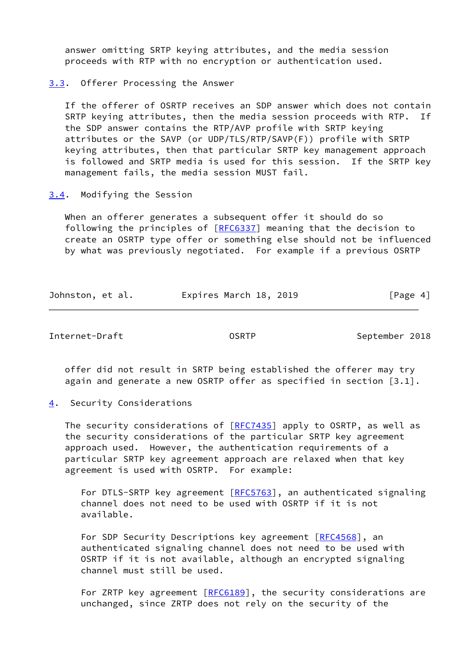answer omitting SRTP keying attributes, and the media session proceeds with RTP with no encryption or authentication used.

<span id="page-4-0"></span>[3.3](#page-4-0). Offerer Processing the Answer

 If the offerer of OSRTP receives an SDP answer which does not contain SRTP keying attributes, then the media session proceeds with RTP. If the SDP answer contains the RTP/AVP profile with SRTP keying attributes or the SAVP (or UDP/TLS/RTP/SAVP(F)) profile with SRTP keying attributes, then that particular SRTP key management approach is followed and SRTP media is used for this session. If the SRTP key management fails, the media session MUST fail.

<span id="page-4-1"></span>[3.4](#page-4-1). Modifying the Session

 When an offerer generates a subsequent offer it should do so following the principles of [\[RFC6337](https://datatracker.ietf.org/doc/pdf/rfc6337)] meaning that the decision to create an OSRTP type offer or something else should not be influenced by what was previously negotiated. For example if a previous OSRTP

| Johnston, et al. | Expires March 18, 2019 | [Page 4] |
|------------------|------------------------|----------|
|------------------|------------------------|----------|

<span id="page-4-3"></span>Internet-Draft CSRTP OSRTP September 2018

 offer did not result in SRTP being established the offerer may try again and generate a new OSRTP offer as specified in section [3.1].

<span id="page-4-2"></span>[4](#page-4-2). Security Considerations

The security considerations of  $[REC7435]$  apply to OSRTP, as well as the security considerations of the particular SRTP key agreement approach used. However, the authentication requirements of a particular SRTP key agreement approach are relaxed when that key agreement is used with OSRTP. For example:

For DTLS-SRTP key agreement [\[RFC5763](https://datatracker.ietf.org/doc/pdf/rfc5763)], an authenticated signaling channel does not need to be used with OSRTP if it is not available.

For SDP Security Descriptions key agreement [\[RFC4568](https://datatracker.ietf.org/doc/pdf/rfc4568)], an authenticated signaling channel does not need to be used with OSRTP if it is not available, although an encrypted signaling channel must still be used.

For ZRTP key agreement [[RFC6189](https://datatracker.ietf.org/doc/pdf/rfc6189)], the security considerations are unchanged, since ZRTP does not rely on the security of the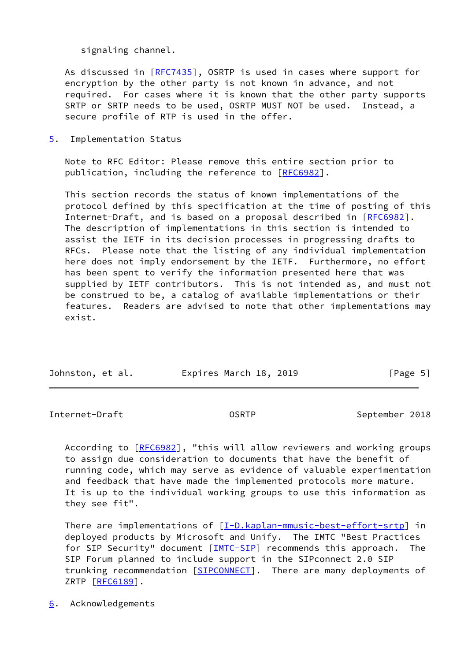signaling channel.

 As discussed in [\[RFC7435](https://datatracker.ietf.org/doc/pdf/rfc7435)], OSRTP is used in cases where support for encryption by the other party is not known in advance, and not required. For cases where it is known that the other party supports SRTP or SRTP needs to be used, OSRTP MUST NOT be used. Instead, a secure profile of RTP is used in the offer.

<span id="page-5-0"></span>[5](#page-5-0). Implementation Status

 Note to RFC Editor: Please remove this entire section prior to publication, including the reference to [\[RFC6982](https://datatracker.ietf.org/doc/pdf/rfc6982)].

 This section records the status of known implementations of the protocol defined by this specification at the time of posting of this Internet-Draft, and is based on a proposal described in [\[RFC6982](https://datatracker.ietf.org/doc/pdf/rfc6982)]. The description of implementations in this section is intended to assist the IETF in its decision processes in progressing drafts to RFCs. Please note that the listing of any individual implementation here does not imply endorsement by the IETF. Furthermore, no effort has been spent to verify the information presented here that was supplied by IETF contributors. This is not intended as, and must not be construed to be, a catalog of available implementations or their features. Readers are advised to note that other implementations may exist.

| Johnston, et al. | Expires March 18, 2019 | [Page 5] |
|------------------|------------------------|----------|

<span id="page-5-2"></span>Internet-Draft OSRTP September 2018

According to [\[RFC6982](https://datatracker.ietf.org/doc/pdf/rfc6982)], "this will allow reviewers and working groups to assign due consideration to documents that have the benefit of running code, which may serve as evidence of valuable experimentation and feedback that have made the implemented protocols more mature. It is up to the individual working groups to use this information as they see fit".

There are implementations of  $[I-D.kaplan-mmusic-best-effort-srtp]$  in deployed products by Microsoft and Unify. The IMTC "Best Practices for SIP Security" document [[IMTC-SIP\]](#page-7-3) recommends this approach. The SIP Forum planned to include support in the SIPconnect 2.0 SIP trunking recommendation [\[SIPCONNECT\]](#page-8-0). There are many deployments of ZRTP [\[RFC6189](https://datatracker.ietf.org/doc/pdf/rfc6189)].

<span id="page-5-1"></span>[6](#page-5-1). Acknowledgements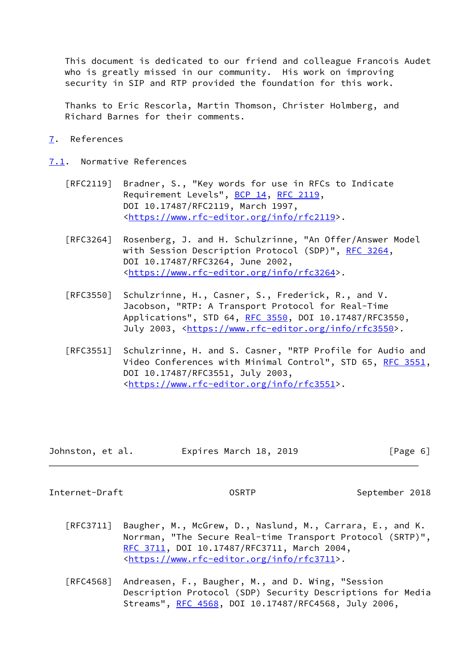This document is dedicated to our friend and colleague Francois Audet who is greatly missed in our community. His work on improving security in SIP and RTP provided the foundation for this work.

 Thanks to Eric Rescorla, Martin Thomson, Christer Holmberg, and Richard Barnes for their comments.

<span id="page-6-0"></span>[7](#page-6-0). References

<span id="page-6-1"></span>[7.1](#page-6-1). Normative References

- [RFC2119] Bradner, S., "Key words for use in RFCs to Indicate Requirement Levels", [BCP 14](https://datatracker.ietf.org/doc/pdf/bcp14), [RFC 2119](https://datatracker.ietf.org/doc/pdf/rfc2119), DOI 10.17487/RFC2119, March 1997, <[https://www.rfc-editor.org/info/rfc2119>](https://www.rfc-editor.org/info/rfc2119).
- [RFC3264] Rosenberg, J. and H. Schulzrinne, "An Offer/Answer Model with Session Description Protocol (SDP)", [RFC 3264](https://datatracker.ietf.org/doc/pdf/rfc3264), DOI 10.17487/RFC3264, June 2002, <[https://www.rfc-editor.org/info/rfc3264>](https://www.rfc-editor.org/info/rfc3264).
- [RFC3550] Schulzrinne, H., Casner, S., Frederick, R., and V. Jacobson, "RTP: A Transport Protocol for Real-Time Applications", STD 64, [RFC 3550](https://datatracker.ietf.org/doc/pdf/rfc3550), DOI 10.17487/RFC3550, July 2003, <<https://www.rfc-editor.org/info/rfc3550>>.
- [RFC3551] Schulzrinne, H. and S. Casner, "RTP Profile for Audio and Video Conferences with Minimal Control", STD 65, [RFC 3551,](https://datatracker.ietf.org/doc/pdf/rfc3551) DOI 10.17487/RFC3551, July 2003, <[https://www.rfc-editor.org/info/rfc3551>](https://www.rfc-editor.org/info/rfc3551).

| Johnston, et al. | Expires March 18, 2019 | [Page 6] |
|------------------|------------------------|----------|
|------------------|------------------------|----------|

<span id="page-6-2"></span>Internet-Draft OSRTP September 2018

- [RFC3711] Baugher, M., McGrew, D., Naslund, M., Carrara, E., and K. Norrman, "The Secure Real-time Transport Protocol (SRTP)", [RFC 3711,](https://datatracker.ietf.org/doc/pdf/rfc3711) DOI 10.17487/RFC3711, March 2004, <[https://www.rfc-editor.org/info/rfc3711>](https://www.rfc-editor.org/info/rfc3711).
- [RFC4568] Andreasen, F., Baugher, M., and D. Wing, "Session Description Protocol (SDP) Security Descriptions for Media Streams", [RFC 4568](https://datatracker.ietf.org/doc/pdf/rfc4568), DOI 10.17487/RFC4568, July 2006,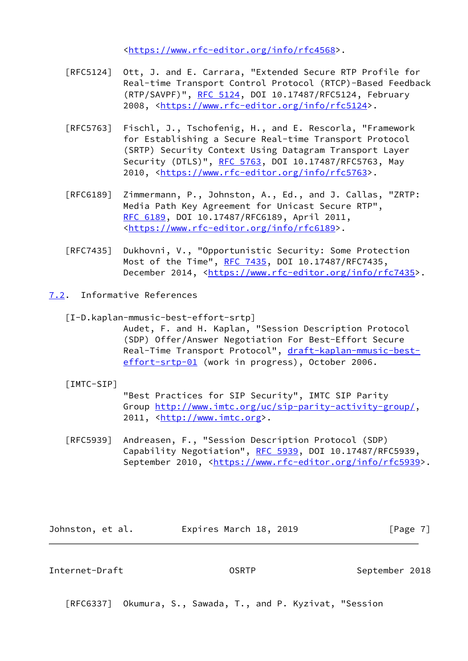<[https://www.rfc-editor.org/info/rfc4568>](https://www.rfc-editor.org/info/rfc4568).

- [RFC5124] Ott, J. and E. Carrara, "Extended Secure RTP Profile for Real-time Transport Control Protocol (RTCP)-Based Feedback (RTP/SAVPF)", [RFC 5124](https://datatracker.ietf.org/doc/pdf/rfc5124), DOI 10.17487/RFC5124, February 2008, [<https://www.rfc-editor.org/info/rfc5124](https://www.rfc-editor.org/info/rfc5124)>.
- [RFC5763] Fischl, J., Tschofenig, H., and E. Rescorla, "Framework for Establishing a Secure Real-time Transport Protocol (SRTP) Security Context Using Datagram Transport Layer Security (DTLS)", [RFC 5763](https://datatracker.ietf.org/doc/pdf/rfc5763), DOI 10.17487/RFC5763, May 2010, [<https://www.rfc-editor.org/info/rfc5763](https://www.rfc-editor.org/info/rfc5763)>.
- [RFC6189] Zimmermann, P., Johnston, A., Ed., and J. Callas, "ZRTP: Media Path Key Agreement for Unicast Secure RTP", [RFC 6189,](https://datatracker.ietf.org/doc/pdf/rfc6189) DOI 10.17487/RFC6189, April 2011, <[https://www.rfc-editor.org/info/rfc6189>](https://www.rfc-editor.org/info/rfc6189).
- [RFC7435] Dukhovni, V., "Opportunistic Security: Some Protection Most of the Time", [RFC 7435](https://datatracker.ietf.org/doc/pdf/rfc7435), DOI 10.17487/RFC7435, December 2014, <<https://www.rfc-editor.org/info/rfc7435>>.
- <span id="page-7-2"></span><span id="page-7-0"></span>[7.2](#page-7-0). Informative References
	- [I-D.kaplan-mmusic-best-effort-srtp]

 Audet, F. and H. Kaplan, "Session Description Protocol (SDP) Offer/Answer Negotiation For Best-Effort Secure Real-Time Transport Protocol", [draft-kaplan-mmusic-best](https://datatracker.ietf.org/doc/pdf/draft-kaplan-mmusic-best-effort-srtp-01) [effort-srtp-01](https://datatracker.ietf.org/doc/pdf/draft-kaplan-mmusic-best-effort-srtp-01) (work in progress), October 2006.

<span id="page-7-3"></span>[IMTC-SIP]

 "Best Practices for SIP Security", IMTC SIP Parity Group<http://www.imtc.org/uc/sip-parity-activity-group/>, 2011, [<http://www.imtc.org](http://www.imtc.org)>.

 [RFC5939] Andreasen, F., "Session Description Protocol (SDP) Capability Negotiation", [RFC 5939,](https://datatracker.ietf.org/doc/pdf/rfc5939) DOI 10.17487/RFC5939, September 2010, <[https://www.rfc-editor.org/info/rfc5939>](https://www.rfc-editor.org/info/rfc5939).

Johnston, et al. **Expires March 18, 2019** [Page 7]

<span id="page-7-1"></span>Internet-Draft OSRTP September 2018

[RFC6337] Okumura, S., Sawada, T., and P. Kyzivat, "Session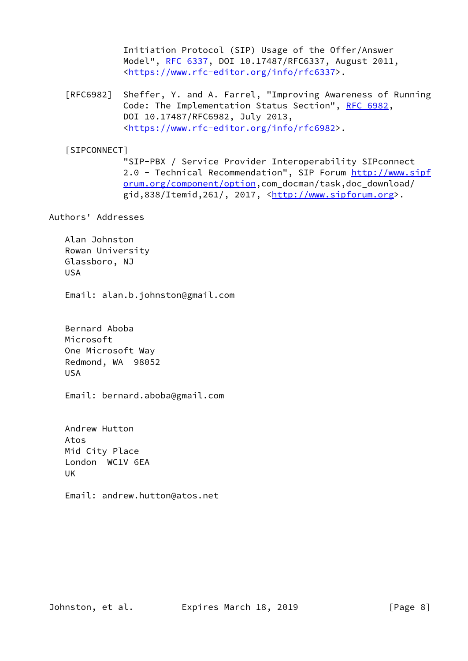Initiation Protocol (SIP) Usage of the Offer/Answer Model", [RFC 6337,](https://datatracker.ietf.org/doc/pdf/rfc6337) DOI 10.17487/RFC6337, August 2011, <[https://www.rfc-editor.org/info/rfc6337>](https://www.rfc-editor.org/info/rfc6337).

 [RFC6982] Sheffer, Y. and A. Farrel, "Improving Awareness of Running Code: The Implementation Status Section", [RFC 6982](https://datatracker.ietf.org/doc/pdf/rfc6982), DOI 10.17487/RFC6982, July 2013, <[https://www.rfc-editor.org/info/rfc6982>](https://www.rfc-editor.org/info/rfc6982).

# <span id="page-8-0"></span>[SIPCONNECT]

 "SIP-PBX / Service Provider Interoperability SIPconnect 2.0 - Technical Recommendation", SIP Forum [http://www.sipf](http://www.sipforum.org/component/option) [orum.org/component/option,](http://www.sipforum.org/component/option)com\_docman/task,doc\_download/  $grid,838/Itemid,261/$ , 2017,  ${khtp://www.sipforum.org>}.$ 

# Authors' Addresses

 Alan Johnston Rowan University Glassboro, NJ USA

Email: alan.b.johnston@gmail.com

 Bernard Aboba Microsoft One Microsoft Way Redmond, WA 98052 USA

Email: bernard.aboba@gmail.com

 Andrew Hutton Atos Mid City Place London WC1V 6EA UK

Email: andrew.hutton@atos.net